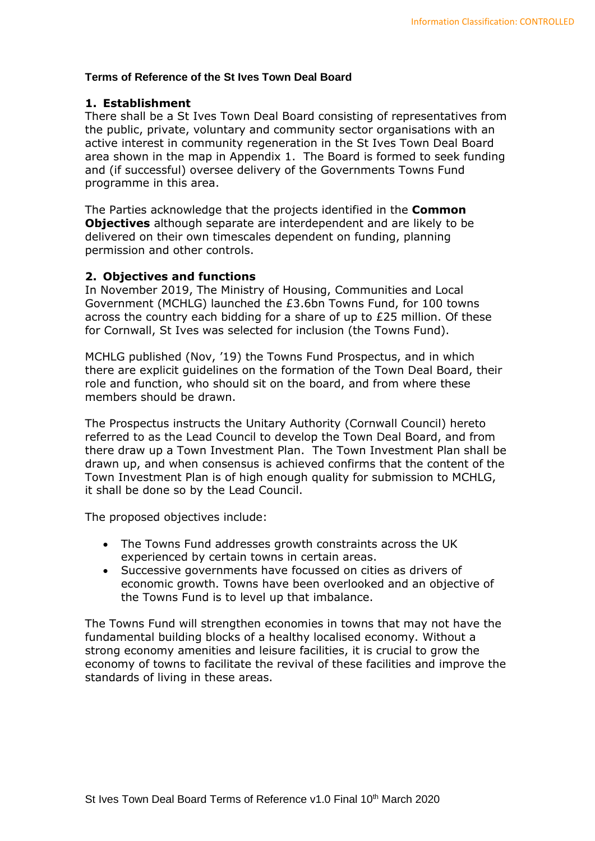#### **Terms of Reference of the St Ives Town Deal Board**

#### **1. Establishment**

There shall be a St Ives Town Deal Board consisting of representatives from the public, private, voluntary and community sector organisations with an active interest in community regeneration in the St Ives Town Deal Board area shown in the map in Appendix 1. The Board is formed to seek funding and (if successful) oversee delivery of the Governments Towns Fund programme in this area.

The Parties acknowledge that the projects identified in the **Common Objectives** although separate are interdependent and are likely to be delivered on their own timescales dependent on funding, planning permission and other controls.

#### **2. Objectives and functions**

In November 2019, The Ministry of Housing, Communities and Local Government (MCHLG) launched the £3.6bn Towns Fund, for 100 towns across the country each bidding for a share of up to £25 million. Of these for Cornwall, St Ives was selected for inclusion (the Towns Fund).

MCHLG published (Nov, '19) the Towns Fund Prospectus, and in which there are explicit guidelines on the formation of the Town Deal Board, their role and function, who should sit on the board, and from where these members should be drawn.

The Prospectus instructs the Unitary Authority (Cornwall Council) hereto referred to as the Lead Council to develop the Town Deal Board, and from there draw up a Town Investment Plan. The Town Investment Plan shall be drawn up, and when consensus is achieved confirms that the content of the Town Investment Plan is of high enough quality for submission to MCHLG, it shall be done so by the Lead Council.

The proposed objectives include:

- The Towns Fund addresses growth constraints across the UK experienced by certain towns in certain areas.
- Successive governments have focussed on cities as drivers of economic growth. Towns have been overlooked and an objective of the Towns Fund is to level up that imbalance.

The Towns Fund will strengthen economies in towns that may not have the fundamental building blocks of a healthy localised economy. Without a strong economy amenities and leisure facilities, it is crucial to grow the economy of towns to facilitate the revival of these facilities and improve the standards of living in these areas.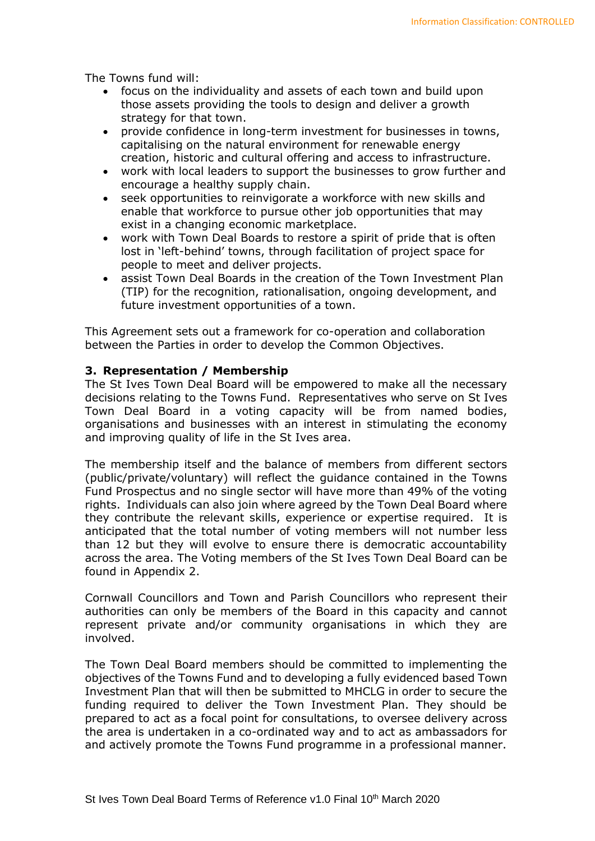The Towns fund will:

- focus on the individuality and assets of each town and build upon those assets providing the tools to design and deliver a growth strategy for that town.
- provide confidence in long-term investment for businesses in towns, capitalising on the natural environment for renewable energy creation, historic and cultural offering and access to infrastructure.
- work with local leaders to support the businesses to grow further and encourage a healthy supply chain.
- seek opportunities to reinvigorate a workforce with new skills and enable that workforce to pursue other job opportunities that may exist in a changing economic marketplace.
- work with Town Deal Boards to restore a spirit of pride that is often lost in 'left-behind' towns, through facilitation of project space for people to meet and deliver projects.
- assist Town Deal Boards in the creation of the Town Investment Plan (TIP) for the recognition, rationalisation, ongoing development, and future investment opportunities of a town.

This Agreement sets out a framework for co-operation and collaboration between the Parties in order to develop the Common Objectives.

#### **3. Representation / Membership**

The St Ives Town Deal Board will be empowered to make all the necessary decisions relating to the Towns Fund. Representatives who serve on St Ives Town Deal Board in a voting capacity will be from named bodies, organisations and businesses with an interest in stimulating the economy and improving quality of life in the St Ives area.

The membership itself and the balance of members from different sectors (public/private/voluntary) will reflect the guidance contained in the Towns Fund Prospectus and no single sector will have more than 49% of the voting rights. Individuals can also join where agreed by the Town Deal Board where they contribute the relevant skills, experience or expertise required. It is anticipated that the total number of voting members will not number less than 12 but they will evolve to ensure there is democratic accountability across the area. The Voting members of the St Ives Town Deal Board can be found in Appendix 2.

Cornwall Councillors and Town and Parish Councillors who represent their authorities can only be members of the Board in this capacity and cannot represent private and/or community organisations in which they are involved.

The Town Deal Board members should be committed to implementing the objectives of the Towns Fund and to developing a fully evidenced based Town Investment Plan that will then be submitted to MHCLG in order to secure the funding required to deliver the Town Investment Plan. They should be prepared to act as a focal point for consultations, to oversee delivery across the area is undertaken in a co-ordinated way and to act as ambassadors for and actively promote the Towns Fund programme in a professional manner.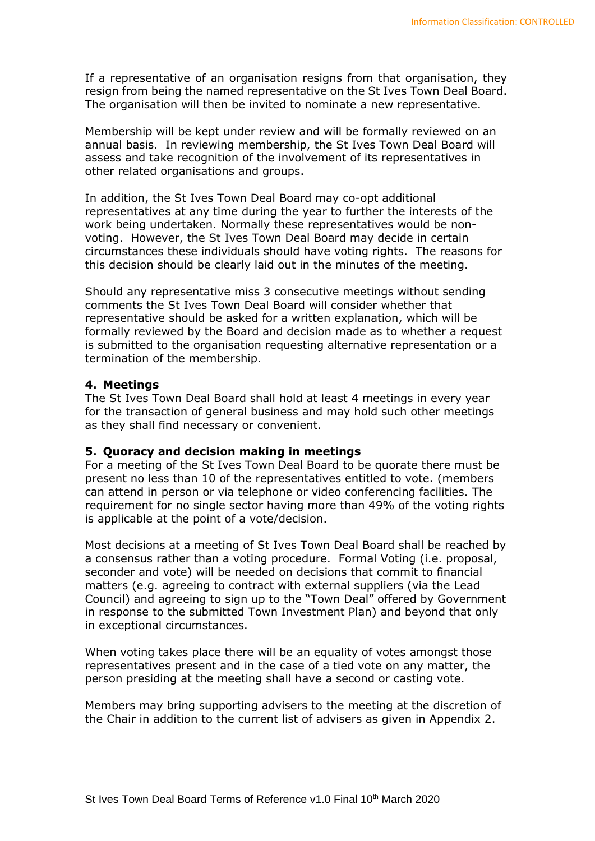If a representative of an organisation resigns from that organisation, they resign from being the named representative on the St Ives Town Deal Board. The organisation will then be invited to nominate a new representative.

Membership will be kept under review and will be formally reviewed on an annual basis. In reviewing membership, the St Ives Town Deal Board will assess and take recognition of the involvement of its representatives in other related organisations and groups.

In addition, the St Ives Town Deal Board may co-opt additional representatives at any time during the year to further the interests of the work being undertaken. Normally these representatives would be nonvoting. However, the St Ives Town Deal Board may decide in certain circumstances these individuals should have voting rights. The reasons for this decision should be clearly laid out in the minutes of the meeting.

Should any representative miss 3 consecutive meetings without sending comments the St Ives Town Deal Board will consider whether that representative should be asked for a written explanation, which will be formally reviewed by the Board and decision made as to whether a request is submitted to the organisation requesting alternative representation or a termination of the membership.

#### **4. Meetings**

The St Ives Town Deal Board shall hold at least 4 meetings in every year for the transaction of general business and may hold such other meetings as they shall find necessary or convenient.

#### **5. Quoracy and decision making in meetings**

For a meeting of the St Ives Town Deal Board to be quorate there must be present no less than 10 of the representatives entitled to vote. (members can attend in person or via telephone or video conferencing facilities. The requirement for no single sector having more than 49% of the voting rights is applicable at the point of a vote/decision.

Most decisions at a meeting of St Ives Town Deal Board shall be reached by a consensus rather than a voting procedure. Formal Voting (i.e. proposal, seconder and vote) will be needed on decisions that commit to financial matters (e.g. agreeing to contract with external suppliers (via the Lead Council) and agreeing to sign up to the "Town Deal" offered by Government in response to the submitted Town Investment Plan) and beyond that only in exceptional circumstances.

When voting takes place there will be an equality of votes amongst those representatives present and in the case of a tied vote on any matter, the person presiding at the meeting shall have a second or casting vote.

Members may bring supporting advisers to the meeting at the discretion of the Chair in addition to the current list of advisers as given in Appendix 2.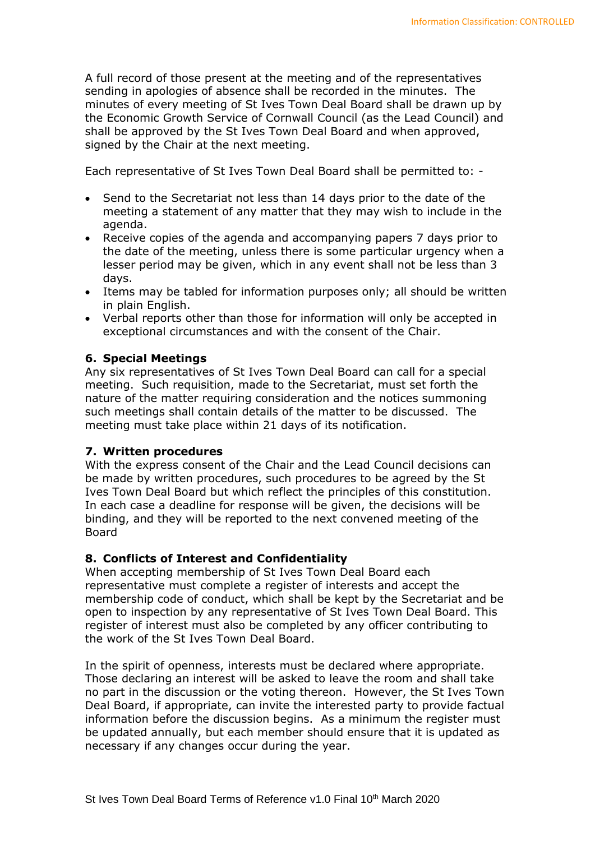A full record of those present at the meeting and of the representatives sending in apologies of absence shall be recorded in the minutes. The minutes of every meeting of St Ives Town Deal Board shall be drawn up by the Economic Growth Service of Cornwall Council (as the Lead Council) and shall be approved by the St Ives Town Deal Board and when approved, signed by the Chair at the next meeting.

Each representative of St Ives Town Deal Board shall be permitted to: -

- Send to the Secretariat not less than 14 days prior to the date of the meeting a statement of any matter that they may wish to include in the agenda.
- Receive copies of the agenda and accompanying papers 7 days prior to the date of the meeting, unless there is some particular urgency when a lesser period may be given, which in any event shall not be less than 3 days.
- Items may be tabled for information purposes only; all should be written in plain English.
- Verbal reports other than those for information will only be accepted in exceptional circumstances and with the consent of the Chair.

# **6. Special Meetings**

Any six representatives of St Ives Town Deal Board can call for a special meeting. Such requisition, made to the Secretariat, must set forth the nature of the matter requiring consideration and the notices summoning such meetings shall contain details of the matter to be discussed. The meeting must take place within 21 days of its notification.

### **7. Written procedures**

With the express consent of the Chair and the Lead Council decisions can be made by written procedures, such procedures to be agreed by the St Ives Town Deal Board but which reflect the principles of this constitution. In each case a deadline for response will be given, the decisions will be binding, and they will be reported to the next convened meeting of the Board

### **8. Conflicts of Interest and Confidentiality**

When accepting membership of St Ives Town Deal Board each representative must complete a register of interests and accept the membership code of conduct, which shall be kept by the Secretariat and be open to inspection by any representative of St Ives Town Deal Board. This register of interest must also be completed by any officer contributing to the work of the St Ives Town Deal Board.

In the spirit of openness, interests must be declared where appropriate. Those declaring an interest will be asked to leave the room and shall take no part in the discussion or the voting thereon. However, the St Ives Town Deal Board, if appropriate, can invite the interested party to provide factual information before the discussion begins. As a minimum the register must be updated annually, but each member should ensure that it is updated as necessary if any changes occur during the year.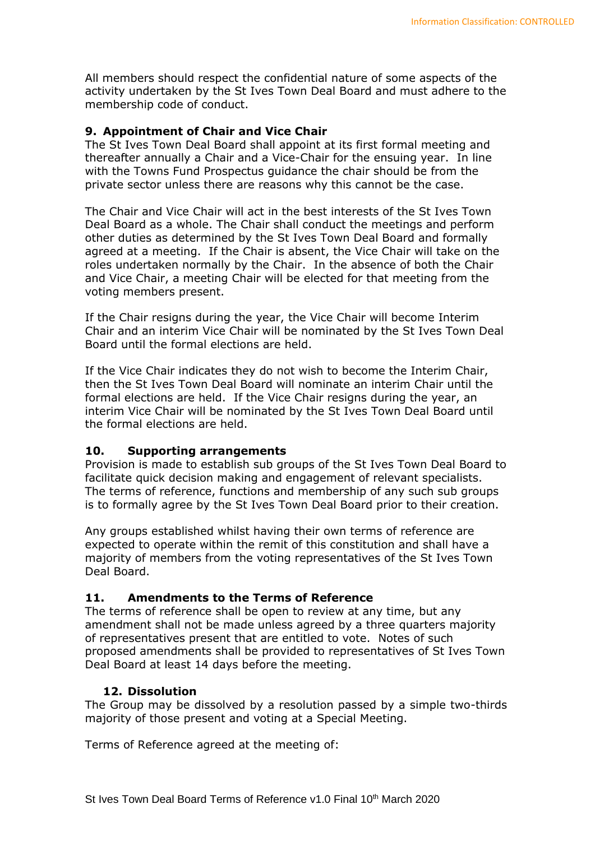All members should respect the confidential nature of some aspects of the activity undertaken by the St Ives Town Deal Board and must adhere to the membership code of conduct.

## **9. Appointment of Chair and Vice Chair**

The St Ives Town Deal Board shall appoint at its first formal meeting and thereafter annually a Chair and a Vice-Chair for the ensuing year. In line with the Towns Fund Prospectus guidance the chair should be from the private sector unless there are reasons why this cannot be the case.

The Chair and Vice Chair will act in the best interests of the St Ives Town Deal Board as a whole. The Chair shall conduct the meetings and perform other duties as determined by the St Ives Town Deal Board and formally agreed at a meeting. If the Chair is absent, the Vice Chair will take on the roles undertaken normally by the Chair. In the absence of both the Chair and Vice Chair, a meeting Chair will be elected for that meeting from the voting members present.

If the Chair resigns during the year, the Vice Chair will become Interim Chair and an interim Vice Chair will be nominated by the St Ives Town Deal Board until the formal elections are held.

If the Vice Chair indicates they do not wish to become the Interim Chair, then the St Ives Town Deal Board will nominate an interim Chair until the formal elections are held. If the Vice Chair resigns during the year, an interim Vice Chair will be nominated by the St Ives Town Deal Board until the formal elections are held.

### **10. Supporting arrangements**

Provision is made to establish sub groups of the St Ives Town Deal Board to facilitate quick decision making and engagement of relevant specialists. The terms of reference, functions and membership of any such sub groups is to formally agree by the St Ives Town Deal Board prior to their creation.

Any groups established whilst having their own terms of reference are expected to operate within the remit of this constitution and shall have a majority of members from the voting representatives of the St Ives Town Deal Board.

### **11. Amendments to the Terms of Reference**

The terms of reference shall be open to review at any time, but any amendment shall not be made unless agreed by a three quarters majority of representatives present that are entitled to vote. Notes of such proposed amendments shall be provided to representatives of St Ives Town Deal Board at least 14 days before the meeting.

### **12. Dissolution**

The Group may be dissolved by a resolution passed by a simple two-thirds majority of those present and voting at a Special Meeting.

Terms of Reference agreed at the meeting of: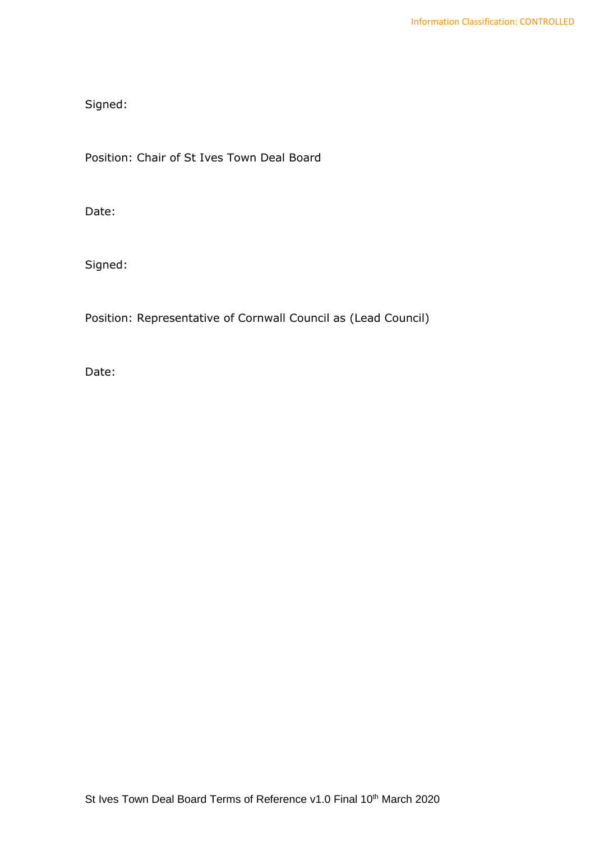Signed:

Position: Chair of St Ives Town Deal Board

Date:

Signed:

Position: Representative of Cornwall Council as (Lead Council)

Date: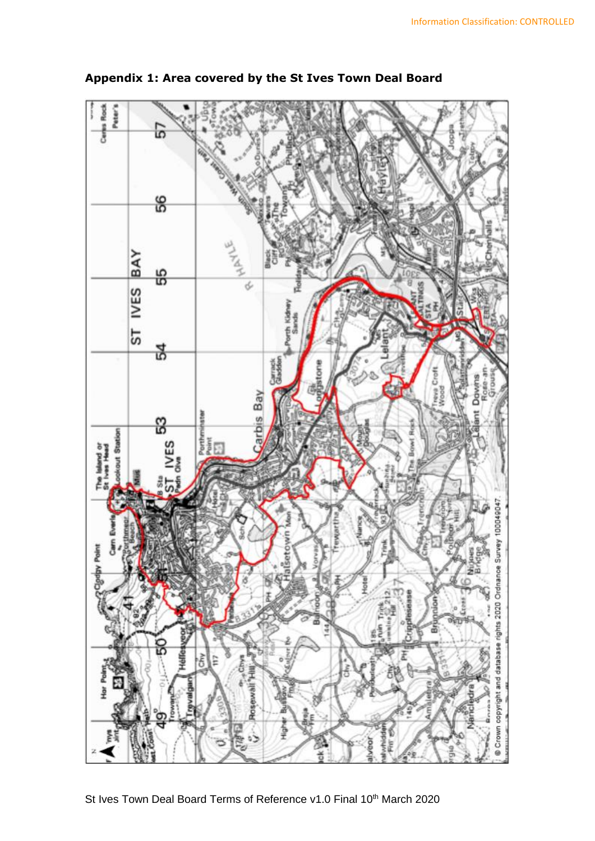

**Appendix 1: Area covered by the St Ives Town Deal Board**